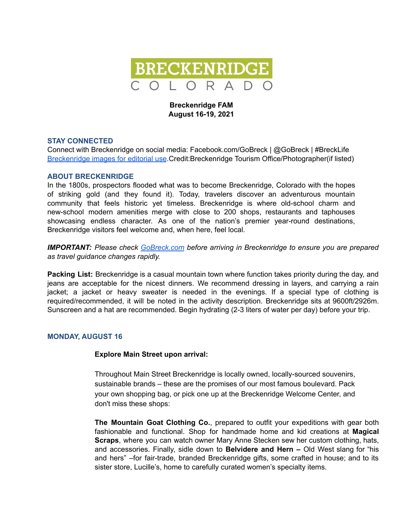

# **Breckenridge FAM August 16-19, 2021**

## **STAY CONNECTED**

Connect with Breckenridge on social media: Facebook.com/GoBreck | @GoBreck | #BreckLife [Breckenridge](https://gobreck.box.com/s/cwyfrhx5u65t18owy1tr88b7zn28g73q) images for editorial use.Credit:Breckenridge Tourism Office/Photographer(if listed)

## **ABOUT BRECKENRIDGE**

In the 1800s, prospectors flooded what was to become Breckenridge, Colorado with the hopes of striking gold (and they found it). Today, travelers discover an adventurous mountain community that feels historic yet timeless. Breckenridge is where old-school charm and new-school modern amenities merge with close to 200 shops, restaurants and taphouses showcasing endless character. As one of the nation's premier year-round destinations, Breckenridge visitors feel welcome and, when here, feel local.

*IMPORTANT: Please check [GoBreck.com](https://gobreck.com/trip-ideas/what-to-know/) before arriving in Breckenridge to ensure you are prepared as travel guidance changes rapidly.*

**Packing List:** Breckenridge is a casual mountain town where function takes priority during the day, and jeans are acceptable for the nicest dinners. We recommend dressing in layers, and carrying a rain jacket; a jacket or heavy sweater is needed in the evenings. If a special type of clothing is required/recommended, it will be noted in the activity description. Breckenridge sits at 9600ft/2926m. Sunscreen and a hat are recommended. Begin hydrating (2-3 liters of water per day) before your trip.

# **MONDAY, AUGUST 16**

#### **Explore Main Street upon arrival:**

Throughout Main Street Breckenridge is locally owned, locally-sourced souvenirs, sustainable brands – these are the promises of our most famous boulevard. Pack your own shopping bag, or pick one up at the Breckenridge Welcome Center, and don't miss these shops:

**The Mountain Goat Clothing Co.**, prepared to outfit your expeditions with gear both fashionable and functional. Shop for handmade home and kid creations at **Magical Scraps**, where you can watch owner Mary Anne Stecken sew her custom clothing, hats, and accessories. Finally, sidle down to **Belvidere and Hern –** Old West slang for "his and hers" –for fair-trade, branded Breckenridge gifts, some crafted in house; and to its sister store, Lucille's, home to carefully curated women's specialty items.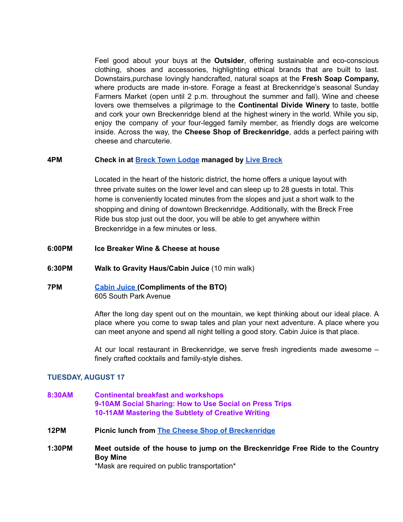Feel good about your buys at the **Outsider**, offering sustainable and eco-conscious clothing, shoes and accessories, highlighting ethical brands that are built to last. Downstairs,purchase lovingly handcrafted, natural soaps at the **Fresh Soap Company,** where products are made in-store. Forage a feast at Breckenridge's seasonal Sunday Farmers Market (open until 2 p.m. throughout the summer and fall). Wine and cheese lovers owe themselves a pilgrimage to the **Continental Divide Winery** to taste, bottle and cork your own Breckenridge blend at the highest winery in the world. While you sip, enjoy the company of your four-legged family member, as friendly dogs are welcome inside. Across the way, the **Cheese Shop of Breckenridge**, adds a perfect pairing with cheese and charcuterie.

## **4PM Check in at Breck Town [Lodge](https://livebreck.myvr.com/property/breck-town-lodge/#?g=2&ad=2&path=%2F) managed by Live [Breck](https://livebreck.com/)**

Located in the heart of the historic district, the home offers a unique layout with three private suites on the lower level and can sleep up to 28 guests in total. This home is conveniently located minutes from the slopes and just a short walk to the shopping and dining of downtown Breckenridge. Additionally, with the Breck Free Ride bus stop just out the door, you will be able to get anywhere within Breckenridge in a few minutes or less.

- **6:00PM Ice Breaker Wine & Cheese at house**
- **6:30PM Walk to Gravity Haus/Cabin Juice** (10 min walk)
- **7PM [Cabin](https://cabinjuice.com/) Juice (Compliments of the BTO)** 605 South Park Avenue

After the long day spent out on the mountain, we kept thinking about our ideal place. A place where you come to swap tales and plan your next adventure. A place where you can meet anyone and spend all night telling a good story. Cabin Juice is that place.

At our local restaurant in Breckenridge, we serve fresh ingredients made awesome – finely crafted cocktails and family-style dishes.

# **TUESDAY, AUGUST 17**

- **8:30AM Continental breakfast and workshops 9-10AM Social Sharing: How to Use Social on Press Trips 10-11AM Mastering the Subtlety of Creative Writing**
- **12PM Picnic lunch from The Cheese Shop of [Breckenridge](https://www.cheeseshopbreck.com/menu)**
- **1:30PM Meet outside of the house to jump on the Breckenridge Free Ride to the Country Boy Mine**

\*Mask are required on public transportation\*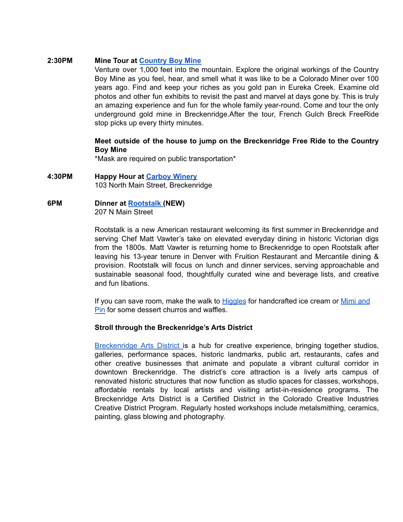## **2:30PM Mine Tour at [Country](https://www.countryboymine.com/attractions) Boy Mine**

Venture over 1,000 feet into the mountain. Explore the original workings of the Country Boy Mine as you feel, hear, and smell what it was like to be a Colorado Miner over 100 years ago. Find and keep your riches as you gold pan in Eureka Creek. Examine old photos and other fun exhibits to revisit the past and marvel at days gone by. This is truly an amazing experience and fun for the whole family year-round. Come and tour the only underground gold mine in Breckenridge.After the tour, French Gulch Breck FreeRide stop picks up every thirty minutes.

# **Meet outside of the house to jump on the Breckenridge Free Ride to the Country Boy Mine**

\*Mask are required on public transportation\*

- **4:30PM Happy Hour at [Carboy](https://www.carboywinery.com/about/about) Winery** 103 North Main Street, Breckenridge
- **6PM Dinner at [Rootstalk](https://www.rootstalkbreck.com/) (NEW)** 207 N Main Street

Rootstalk is a new American restaurant welcoming its first summer in Breckenridge and serving Chef Matt Vawter's take on elevated everyday dining in historic Victorian digs from the 1800s. Matt Vawter is returning home to Breckenridge to open Rootstalk after leaving his 13-year tenure in Denver with Fruition Restaurant and Mercantile dining & provision. Rootstalk will focus on lunch and dinner services, serving approachable and sustainable seasonal food, thoughtfully curated wine and beverage lists, and creative and fun libations.

If you can save room, make the walk to [Higgles](https://www.higglesicecream.com/about/) for handcrafted ice cream or [Mimi](https://mimiandpin.com/) and [Pin](https://mimiandpin.com/) for some dessert churros and waffles.

# **Stroll through the Breckenridge's Arts District**

[Breckenridge](https://www.breckcreate.org/arts-district/) Arts District is a hub for creative experience, bringing together studios, galleries, performance spaces, historic landmarks, public art, restaurants, cafes and other creative businesses that animate and populate a vibrant cultural corridor in downtown Breckenridge. The district's core attraction is a lively arts campus of renovated historic structures that now function as studio spaces for classes, workshops, affordable rentals by local artists and visiting artist-in-residence programs. The Breckenridge Arts District is a Certified District in the Colorado Creative Industries Creative District Program. Regularly hosted workshops include metalsmithing, ceramics, painting, glass blowing and photography.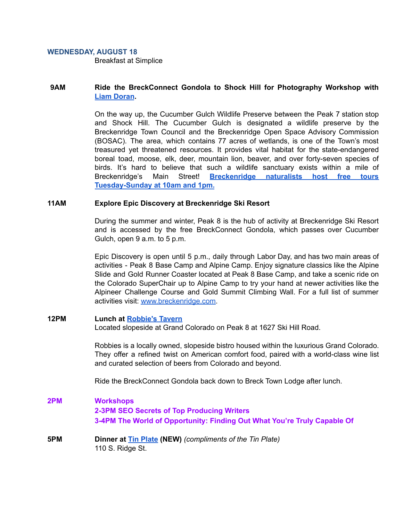#### **WEDNESDAY, AUGUST 18**

Breakfast at Simplice

# **9AM Ride the BreckConnect Gondola to Shock Hill for Photography Workshop with Liam [Doran](https://tr.cloudmagic.com/h/v6/link-track/1.0/1626115534336010-699ae4bc-4c56-5733-f83a-5aa0e526a2f5/1626115515/338da813d7b935ad669858a503fe29c8/dc717ad7f28408113bb185058317b120/c53d39d67aa9ebeec2e5fa9fe3111a61?redirect_uri=https://tr.cloudmagic.com/h/v6/link-track/1.0/1626124601977925-5d37f870-e7a2-f3f2-006a-72c979a4ea68/1626124573/338da813d7b935ad669858a503fe29c8/95cb62b28f75bac445d69b3159299f6f/74a5ddf9679168e34380e78d98adc60a?redirect_uri=https://tr.cloudmagic.com/h/v6/link-track/1.0/1626282301417265-1f01b0d2-bd8d-4638-9701-a0ff95a25f70/1626281682/338da813d7b935ad669858a503fe29c8/7405e3ca554ad121afa24f7812979d68/c53d39d67aa9ebeec2e5fa9fe3111a61?redirect_uri=https://www.liamdoranphotography.com/).**

On the way up, the Cucumber Gulch Wildlife Preserve between the Peak 7 station stop and Shock Hill. The Cucumber Gulch is designated a wildlife preserve by the Breckenridge Town Council and the Breckenridge Open Space Advisory Commission (BOSAC). The area, which contains 77 acres of wetlands, is one of the Town's most treasured yet threatened resources. It provides vital habitat for the state-endangered boreal toad, moose, elk, deer, mountain lion, beaver, and over forty-seven species of birds. It's hard to believe that such a wildlife sanctuary exists within a mile of Breckenridge's Main Street! **[Breckenridge](http://www.breckenridgerecreation.com/) naturalists host free tours [Tuesday-Sunday](http://www.breckenridgerecreation.com/) at 10am and 1pm.**

## **11AM Explore Epic Discovery at Breckenridge Ski Resort**

During the summer and winter, Peak 8 is the hub of activity at Breckenridge Ski Resort and is accessed by the free BreckConnect Gondola, which passes over Cucumber Gulch, open 9 a.m. to 5 p.m.

Epic Discovery is open until 5 p.m., daily through Labor Day, and has two main areas of activities - Peak 8 Base Camp and Alpine Camp. Enjoy signature classics like the Alpine Slide and Gold Runner Coaster located at Peak 8 Base Camp, and take a scenic ride on the Colorado SuperChair up to Alpine Camp to try your hand at newer activities like the Alpineer Challenge Course and Gold Summit Climbing Wall. For a full list of summer activities visit: [www.breckenridge.com.](http://www.breckenridge.com)

#### **12PM Lunch at [Robbie's](https://robbiestavern.com/) Tavern**

Located slopeside at Grand Colorado on Peak 8 at 1627 Ski Hill Road.

Robbies is a locally owned, slopeside bistro housed within the luxurious Grand Colorado. They offer a refined twist on American comfort food, paired with a world-class wine list and curated selection of beers from Colorado and beyond.

Ride the BreckConnect Gondola back down to Breck Town Lodge after lunch.

# **2PM Workshops 2-3PM SEO Secrets of Top Producing Writers 3-4PM The World of Opportunity: Finding Out What You're Truly Capable Of**

**5PM Dinner at Tin [Plate](https://www.tinplatepizza.com/) (NEW)** *(compliments of the Tin Plate)* 110 S. Ridge St.